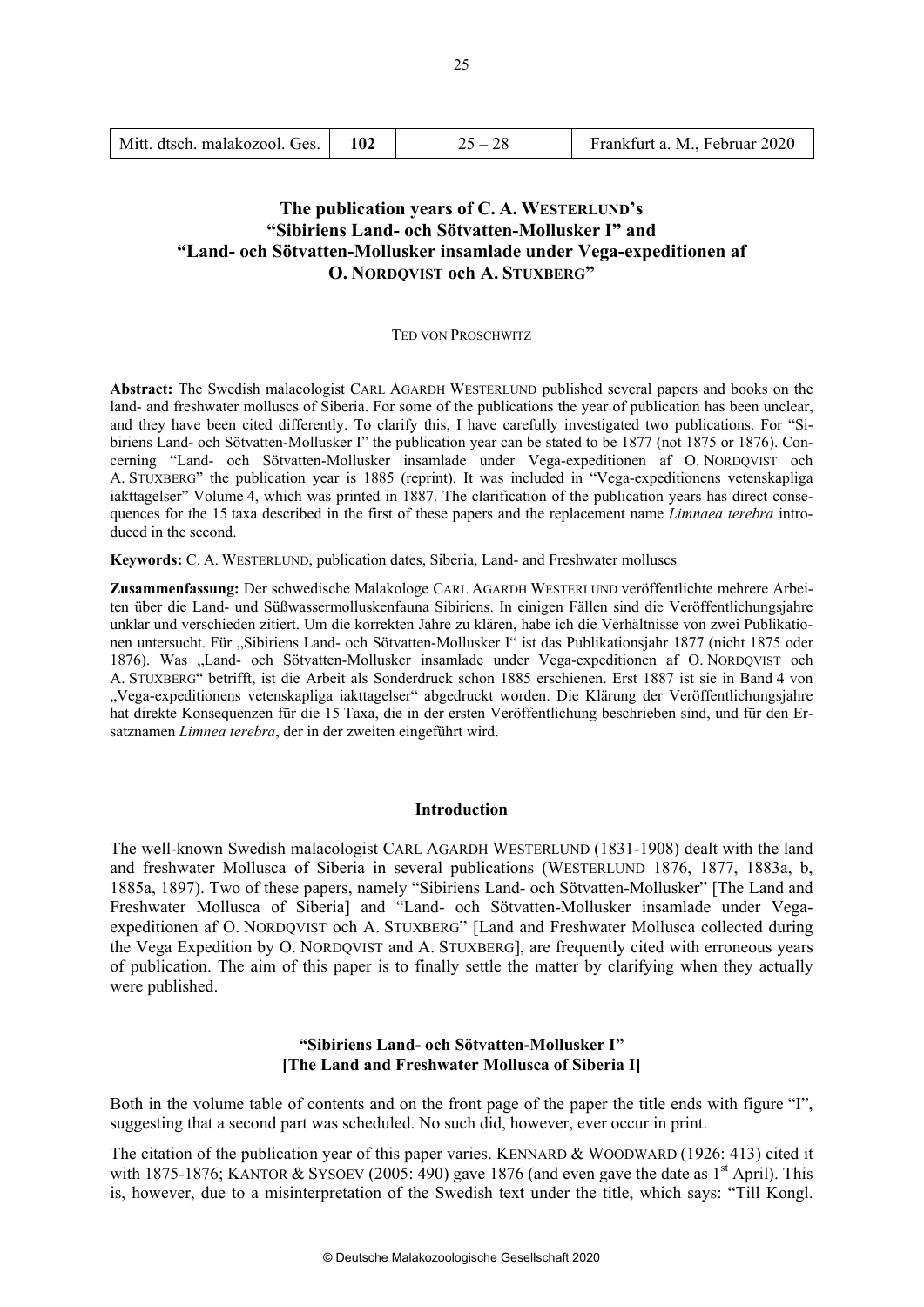| Mitt. dtsch. malakozool. Ges. |  | $25 - 28$ | Frankfurt a. M., Februar 2020 |
|-------------------------------|--|-----------|-------------------------------|
|-------------------------------|--|-----------|-------------------------------|

# **The publication years of C. A. WESTERLUND's "Sibiriens Land- och Sötvatten-Mollusker I" and "Land- och Sötvatten-Mollusker insamlade under Vega-expeditionen af O. NORDQVIST och A. STUXBERG"**

### TED VON PROSCHWITZ

**Abstract:** The Swedish malacologist CARL AGARDH WESTERLUND published several papers and books on the land- and freshwater molluscs of Siberia. For some of the publications the year of publication has been unclear, and they have been cited differently. To clarify this, I have carefully investigated two publications. For "Sibiriens Land- och Sötvatten-Mollusker I" the publication year can be stated to be 1877 (not 1875 or 1876). Concerning "Land- och Sötvatten-Mollusker insamlade under Vega-expeditionen af O. NORDQVIST och A. STUXBERG" the publication year is 1885 (reprint). It was included in "Vega-expeditionens vetenskapliga iakttagelser" Volume 4, which was printed in 1887. The clarification of the publication years has direct consequences for the 15 taxa described in the first of these papers and the replacement name *Limnaea terebra* introduced in the second.

**Keywords:** C. A. WESTERLUND, publication dates, Siberia, Land- and Freshwater molluscs

**Zusammenfassung:** Der schwedische Malakologe CARL AGARDH WESTERLUND veröffentlichte mehrere Arbeiten über die Land- und Süßwassermolluskenfauna Sibiriens. In einigen Fällen sind die Veröffentlichungsjahre unklar und verschieden zitiert. Um die korrekten Jahre zu klären, habe ich die Verhältnisse von zwei Publikationen untersucht. Für "Sibiriens Land- och Sötvatten-Mollusker I" ist das Publikationsjahr 1877 (nicht 1875 oder 1876). Was "Land- och Sötvatten-Mollusker insamlade under Vega-expeditionen af O. NORDQVIST och A. STUXBERG" betrifft, ist die Arbeit als Sonderdruck schon 1885 erschienen. Erst 1887 ist sie in Band 4 von "Vega-expeditionens vetenskapliga iakttagelser" abgedruckt worden. Die Klärung der Veröffentlichungsjahre hat direkte Konsequenzen für die 15 Taxa, die in der ersten Veröffentlichung beschrieben sind, und für den Ersatznamen *Limnea terebra*, der in der zweiten eingeführt wird.

## **Introduction**

The well-known Swedish malacologist CARL AGARDH WESTERLUND (1831-1908) dealt with the land and freshwater Mollusca of Siberia in several publications (WESTERLUND 1876, 1877, 1883a, b, 1885a, 1897). Two of these papers, namely "Sibiriens Land- och Sötvatten-Mollusker" [The Land and Freshwater Mollusca of Siberia] and "Land- och Sötvatten-Mollusker insamlade under Vegaexpeditionen af O. NORDQVIST och A. STUXBERG" [Land and Freshwater Mollusca collected during the Vega Expedition by O. NORDQVIST and A. STUXBERG], are frequently cited with erroneous years of publication. The aim of this paper is to finally settle the matter by clarifying when they actually were published.

## **"Sibiriens Land- och Sötvatten-Mollusker I" [The Land and Freshwater Mollusca of Siberia I]**

Both in the volume table of contents and on the front page of the paper the title ends with figure "I", suggesting that a second part was scheduled. No such did, however, ever occur in print.

The citation of the publication year of this paper varies. KENNARD & WOODWARD (1926: 413) cited it with 1875-1876; KANTOR & SYSOEV (2005: 490) gave 1876 (and even gave the date as  $1<sup>st</sup>$  April). This is, however, due to a misinterpretation of the Swedish text under the title, which says: "Till Kongl.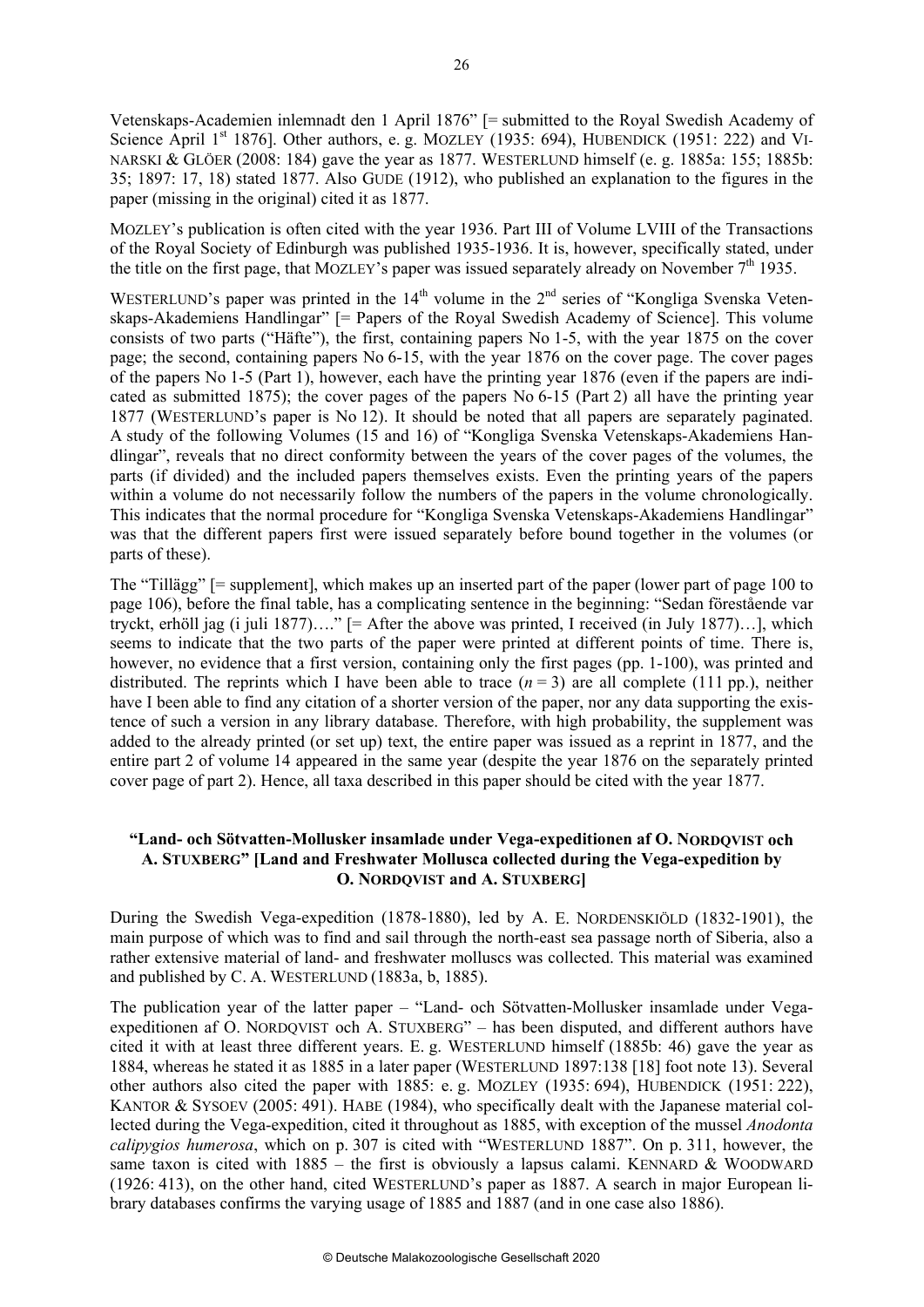Vetenskaps-Academien inlemnadt den 1 April 1876" [= submitted to the Royal Swedish Academy of Science April 1<sup>st</sup> 1876]. Other authors, e. g. MOZLEY (1935: 694), HUBENDICK (1951: 222) and VI-NARSKI & GLÖER (2008: 184) gave the year as 1877. WESTERLUND himself (e. g. 1885a: 155; 1885b: 35; 1897: 17, 18) stated 1877. Also GUDE (1912), who published an explanation to the figures in the paper (missing in the original) cited it as 1877.

MOZLEY's publication is often cited with the year 1936. Part III of Volume LVIII of the Transactions of the Royal Society of Edinburgh was published 1935-1936. It is, however, specifically stated, under the title on the first page, that MOZLEY's paper was issued separately already on November  $7<sup>th</sup>$  1935.

WESTERLUND's paper was printed in the  $14<sup>th</sup>$  volume in the  $2<sup>nd</sup>$  series of "Kongliga Svenska Vetenskaps-Akademiens Handlingar" [= Papers of the Royal Swedish Academy of Science]. This volume consists of two parts ("Häfte"), the first, containing papers No 1-5, with the year 1875 on the cover page; the second, containing papers No 6-15, with the year 1876 on the cover page. The cover pages of the papers No 1-5 (Part 1), however, each have the printing year 1876 (even if the papers are indicated as submitted 1875); the cover pages of the papers No  $6-15$  (Part 2) all have the printing year 1877 (WESTERLUND's paper is No 12). It should be noted that all papers are separately paginated. A study of the following Volumes (15 and 16) of "Kongliga Svenska Vetenskaps-Akademiens Handlingar", reveals that no direct conformity between the years of the cover pages of the volumes, the parts (if divided) and the included papers themselves exists. Even the printing years of the papers within a volume do not necessarily follow the numbers of the papers in the volume chronologically. This indicates that the normal procedure for "Kongliga Svenska Vetenskaps-Akademiens Handlingar" was that the different papers first were issued separately before bound together in the volumes (or parts of these).

The "Tillägg" [= supplement], which makes up an inserted part of the paper (lower part of page 100 to page 106), before the final table, has a complicating sentence in the beginning: "Sedan förestående var tryckt, erhöll jag (i juli 1877)…." [= After the above was printed, I received (in July 1877)…], which seems to indicate that the two parts of the paper were printed at different points of time. There is, however, no evidence that a first version, containing only the first pages (pp. 1-100), was printed and distributed. The reprints which I have been able to trace  $(n=3)$  are all complete (111 pp.), neither have I been able to find any citation of a shorter version of the paper, nor any data supporting the existence of such a version in any library database. Therefore, with high probability, the supplement was added to the already printed (or set up) text, the entire paper was issued as a reprint in 1877, and the entire part 2 of volume 14 appeared in the same year (despite the year 1876 on the separately printed cover page of part 2). Hence, all taxa described in this paper should be cited with the year 1877.

## **"Land- och Sötvatten-Mollusker insamlade under Vega-expeditionen af O. NORDQVIST och A. STUXBERG" [Land and Freshwater Mollusca collected during the Vega-expedition by O. NORDQVIST and A. STUXBERG]**

During the Swedish Vega-expedition (1878-1880), led by A. E. NORDENSKIÖLD (1832-1901), the main purpose of which was to find and sail through the north-east sea passage north of Siberia, also a rather extensive material of land- and freshwater molluscs was collected. This material was examined and published by C. A. WESTERLUND (1883a, b, 1885).

The publication year of the latter paper – "Land- och Sötvatten-Mollusker insamlade under Vegaexpeditionen af O. NORDQVIST och A. STUXBERG" – has been disputed, and different authors have cited it with at least three different years. E. g. WESTERLUND himself (1885b: 46) gave the year as 1884, whereas he stated it as 1885 in a later paper (WESTERLUND 1897:138 [18] foot note 13). Several other authors also cited the paper with 1885: e. g. MOZLEY (1935: 694), HUBENDICK (1951: 222), KANTOR & SYSOEV (2005: 491). HABE (1984), who specifically dealt with the Japanese material collected during the Vega-expedition, cited it throughout as 1885, with exception of the mussel *Anodonta calipygios humerosa*, which on p. 307 is cited with "WESTERLUND 1887". On p. 311, however, the same taxon is cited with  $1885 -$  the first is obviously a lapsus calami. KENNARD & WOODWARD (1926: 413), on the other hand, cited WESTERLUND's paper as 1887. A search in major European library databases confirms the varying usage of 1885 and 1887 (and in one case also 1886).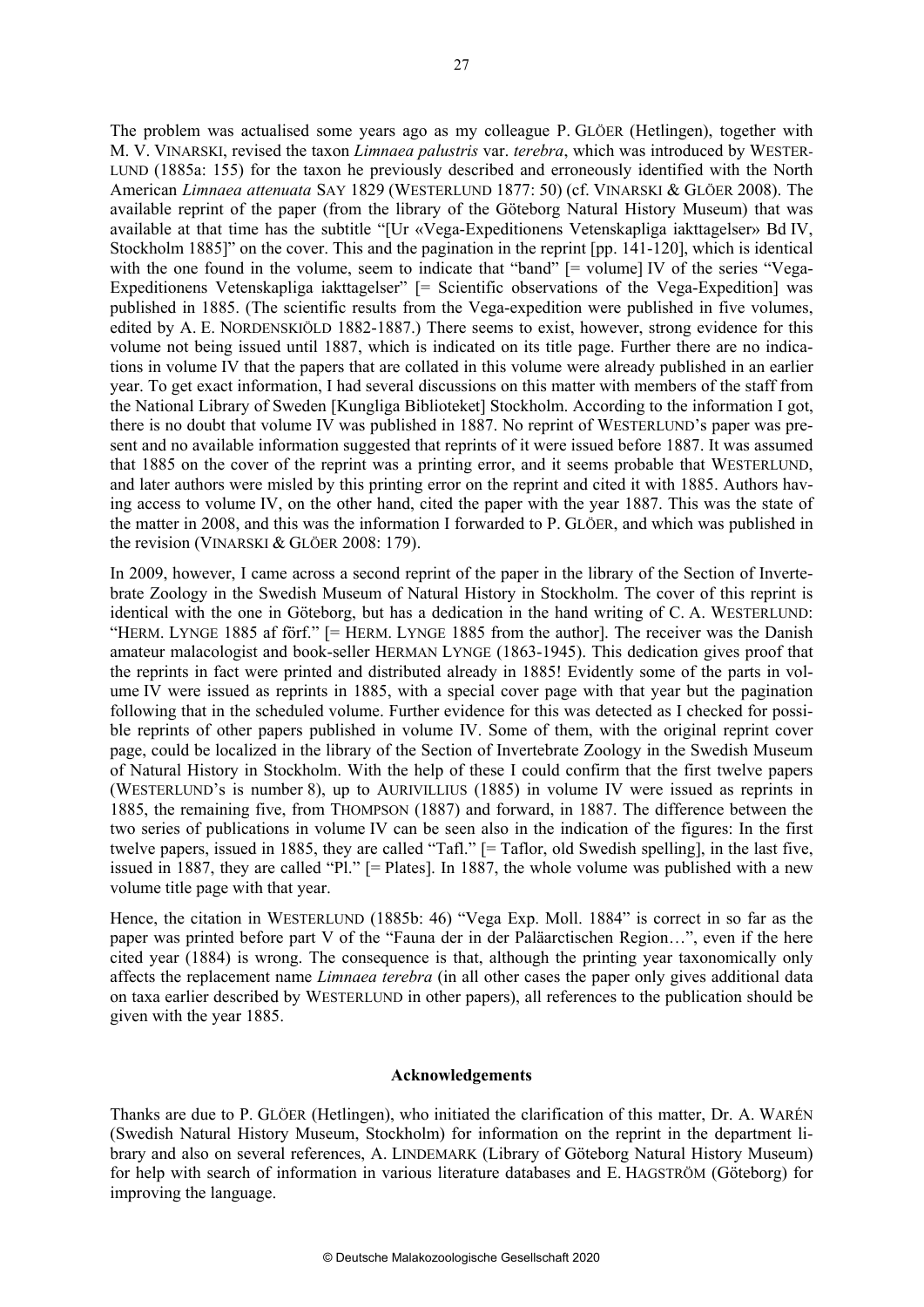The problem was actualised some years ago as my colleague P. GLÖER (Hetlingen), together with M. V. VINARSKI, revised the taxon *Limnaea palustris* var. *terebra*, which was introduced by WESTER-LUND (1885a: 155) for the taxon he previously described and erroneously identified with the North American *Limnaea attenuata* SAY 1829 (WESTERLUND 1877: 50) (cf. VINARSKI & GLÖER 2008). The available reprint of the paper (from the library of the Göteborg Natural History Museum) that was available at that time has the subtitle "[Ur «Vega-Expeditionens Vetenskapliga iakttagelser» Bd IV, Stockholm 1885]" on the cover. This and the pagination in the reprint [pp. 141-120], which is identical with the one found in the volume, seem to indicate that "band"  $=$  volume IV of the series "Vega-Expeditionens Vetenskapliga iakttagelser" [= Scientific observations of the Vega-Expedition] was published in 1885. (The scientific results from the Vega-expedition were published in five volumes, edited by A. E. NORDENSKIÖLD 1882-1887.) There seems to exist, however, strong evidence for this volume not being issued until 1887, which is indicated on its title page. Further there are no indications in volume IV that the papers that are collated in this volume were already published in an earlier year. To get exact information, I had several discussions on this matter with members of the staff from the National Library of Sweden [Kungliga Biblioteket] Stockholm. According to the information I got, there is no doubt that volume IV was published in 1887. No reprint of WESTERLUND's paper was present and no available information suggested that reprints of it were issued before 1887. It was assumed that 1885 on the cover of the reprint was a printing error, and it seems probable that WESTERLUND, and later authors were misled by this printing error on the reprint and cited it with 1885. Authors having access to volume IV, on the other hand, cited the paper with the year 1887. This was the state of the matter in 2008, and this was the information I forwarded to P. GLÖER, and which was published in the revision (VINARSKI & GLÖER 2008: 179).

In 2009, however, I came across a second reprint of the paper in the library of the Section of Invertebrate Zoology in the Swedish Museum of Natural History in Stockholm. The cover of this reprint is identical with the one in Göteborg, but has a dedication in the hand writing of C. A. WESTERLUND: "HERM. LYNGE 1885 af förf." [= HERM. LYNGE 1885 from the author]. The receiver was the Danish amateur malacologist and book-seller HERMAN LYNGE (1863-1945). This dedication gives proof that the reprints in fact were printed and distributed already in 1885! Evidently some of the parts in volume IV were issued as reprints in 1885, with a special cover page with that year but the pagination following that in the scheduled volume. Further evidence for this was detected as I checked for possible reprints of other papers published in volume IV. Some of them, with the original reprint cover page, could be localized in the library of the Section of Invertebrate Zoology in the Swedish Museum of Natural History in Stockholm. With the help of these I could confirm that the first twelve papers (WESTERLUND's is number 8), up to AURIVILLIUS (1885) in volume IV were issued as reprints in 1885, the remaining five, from THOMPSON (1887) and forward, in 1887. The difference between the two series of publications in volume IV can be seen also in the indication of the figures: In the first twelve papers, issued in 1885, they are called "Tafl." [= Taflor, old Swedish spelling], in the last five, issued in 1887, they are called "Pl." [= Plates]. In 1887, the whole volume was published with a new volume title page with that year.

Hence, the citation in WESTERLUND (1885b: 46) "Vega Exp. Moll. 1884" is correct in so far as the paper was printed before part V of the "Fauna der in der Paläarctischen Region…", even if the here cited year (1884) is wrong. The consequence is that, although the printing year taxonomically only affects the replacement name *Limnaea terebra* (in all other cases the paper only gives additional data on taxa earlier described by WESTERLUND in other papers), all references to the publication should be given with the year 1885.

## **Acknowledgements**

Thanks are due to P. GLÖER (Hetlingen), who initiated the clarification of this matter, Dr. A. WARÉN (Swedish Natural History Museum, Stockholm) for information on the reprint in the department library and also on several references, A. LINDEMARK (Library of Göteborg Natural History Museum) for help with search of information in various literature databases and E. HAGSTRÖM (Göteborg) for improving the language.